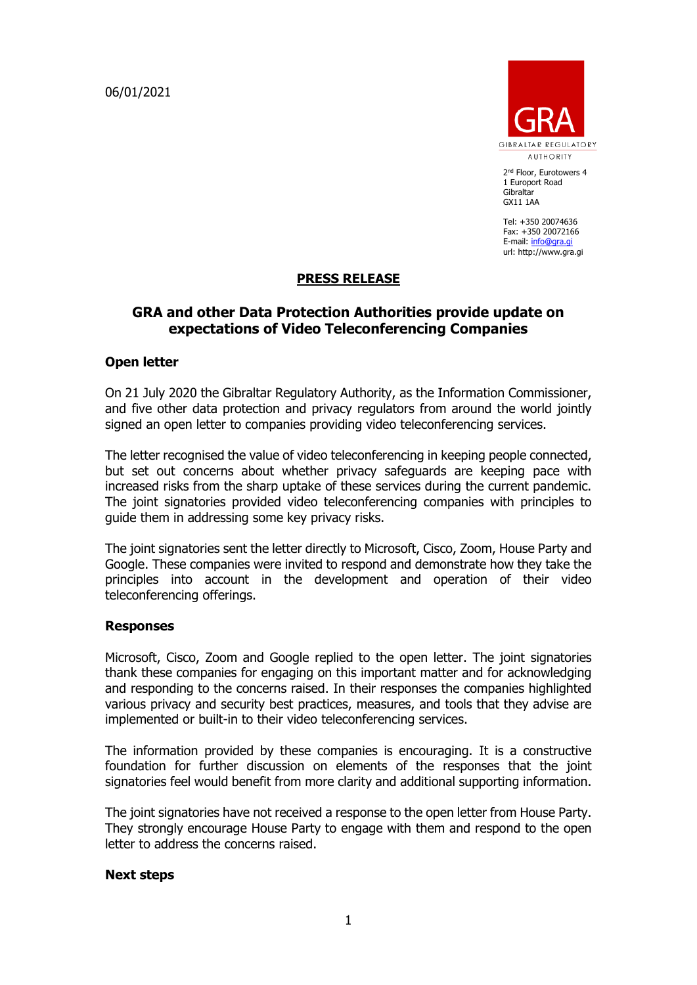06/01/2021



2<sup>nd</sup> Floor, Eurotowers 4 1 Europort Road Gibraltar GX11 1AA

Tel: +350 20074636 Fax: +350 20072166 E-mail: [info@gra.gi](mailto:info@gra.gi) url: http://www.gra.gi

## **PRESS RELEASE**

# **GRA and other Data Protection Authorities provide update on expectations of Video Teleconferencing Companies**

## **Open letter**

On 21 July 2020 the Gibraltar Regulatory Authority, as the Information Commissioner, and five other data protection and privacy regulators from around the world jointly signed an open letter to companies providing video teleconferencing services.

The letter recognised the value of video teleconferencing in keeping people connected, but set out concerns about whether privacy safeguards are keeping pace with increased risks from the sharp uptake of these services during the current pandemic. The joint signatories provided video teleconferencing companies with principles to guide them in addressing some key privacy risks.

The joint signatories sent the letter directly to Microsoft, Cisco, Zoom, House Party and Google. These companies were invited to respond and demonstrate how they take the principles into account in the development and operation of their video teleconferencing offerings.

### **Responses**

Microsoft, Cisco, Zoom and Google replied to the open letter. The joint signatories thank these companies for engaging on this important matter and for acknowledging and responding to the concerns raised. In their responses the companies highlighted various privacy and security best practices, measures, and tools that they advise are implemented or built-in to their video teleconferencing services.

The information provided by these companies is encouraging. It is a constructive foundation for further discussion on elements of the responses that the joint signatories feel would benefit from more clarity and additional supporting information.

The joint signatories have not received a response to the open letter from House Party. They strongly encourage House Party to engage with them and respond to the open letter to address the concerns raised.

### **Next steps**